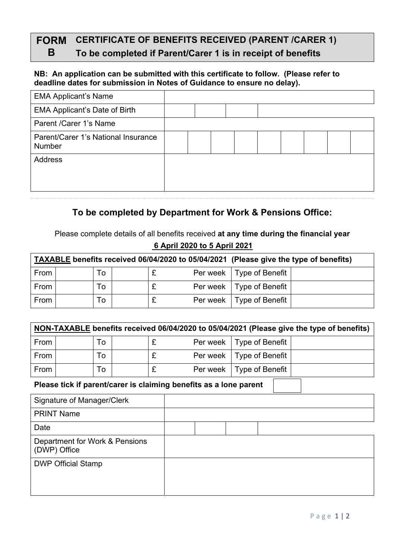# **FORM CERTIFICATE OF BENEFITS RECEIVED (PARENT /CARER 1)**

## **B To be completed if Parent/Carer 1 is in receipt of benefits**

#### **NB: An application can be submitted with this certificate to follow. (Please refer to deadline dates for submission in Notes of Guidance to ensure no delay).**

| <b>EMA Applicant's Name</b>                          |  |  |  |  |  |
|------------------------------------------------------|--|--|--|--|--|
| <b>EMA Applicant's Date of Birth</b>                 |  |  |  |  |  |
| Parent / Carer 1's Name                              |  |  |  |  |  |
| Parent/Carer 1's National Insurance<br><b>Number</b> |  |  |  |  |  |
| Address                                              |  |  |  |  |  |
|                                                      |  |  |  |  |  |

### **To be completed by Department for Work & Pensions Office:**

Please complete details of all benefits received **at any time during the financial year 6 April 2020 to 5 April 2021** 

|      |    |  |                            | TAXABLE benefits received 06/04/2020 to 05/04/2021 (Please give the type of benefits) |
|------|----|--|----------------------------|---------------------------------------------------------------------------------------|
| From | To |  | Per week   Type of Benefit |                                                                                       |
| From | ١o |  | Per week   Type of Benefit |                                                                                       |
| From | Γο |  | Per week   Type of Benefit |                                                                                       |

|      | NON-TAXABLE benefits received 06/04/2020 to 05/04/2021 (Please give the type of benefits) |    |  |  |          |                            |  |  |  |  |
|------|-------------------------------------------------------------------------------------------|----|--|--|----------|----------------------------|--|--|--|--|
| From |                                                                                           | Τo |  |  |          | Per week   Type of Benefit |  |  |  |  |
| From |                                                                                           | Τo |  |  |          | Per week   Type of Benefit |  |  |  |  |
| From |                                                                                           | Τо |  |  | Per week | Type of Benefit            |  |  |  |  |

### **Please tick if parent/carer is claiming benefits as a lone parent**